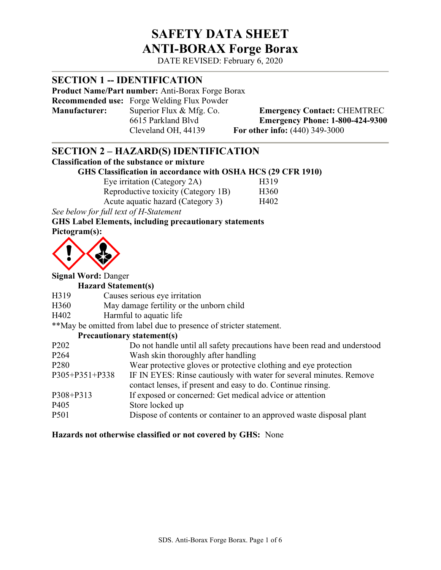# SAFETY DATA SHEET ANTI-BORAX Forge Borax

DATE REVISED: February 6, 2020

### **SECTION 1 -- IDENTIFICATION**

Product Name/Part number: Anti-Borax Forge Borax

Recommended use: Forge Welding Flux Powder Manufacturer: Superior Flux & Mfg. Co. Emergency Contact: CHEMTREC<br>6615 Parkland Blvd Emergency Phone: 1-800-424-9300

**Emergency Phone: 1-800-424-9300** Cleveland OH, 44139 For other info: (440) 349-3000

### SECTION 2 – HAZARD(S) IDENTIFICATION

### Classification of the substance or mixture

### GHS Classification in accordance with OSHA HCS (29 CFR 1910)

| Eye irritation (Category 2A)        | H319             |
|-------------------------------------|------------------|
| Reproductive toxicity (Category 1B) | H <sub>360</sub> |
| Acute aquatic hazard (Category 3)   | H402             |

See below for full text of H-Statement

### GHS Label Elements, including precautionary statements

Pictogram(s):



### Signal Word: Danger

#### Hazard Statement(s)

- H319 Causes serious eye irritation
- H360 May damage fertility or the unborn child
- H402 Harmful to aquatic life

\*\*May be omitted from label due to presence of stricter statement.

#### Precautionary statement(s)

| P <sub>202</sub> | Do not handle until all safety precautions have been read and understood |
|------------------|--------------------------------------------------------------------------|
| P <sub>264</sub> | Wash skin thoroughly after handling                                      |
| P <sub>280</sub> | Wear protective gloves or protective clothing and eye protection         |
| P305+P351+P338   | IF IN EYES: Rinse cautiously with water for several minutes. Remove      |
|                  | contact lenses, if present and easy to do. Continue rinsing.             |
| P308+P313        | If exposed or concerned: Get medical advice or attention                 |
| P <sub>405</sub> | Store locked up                                                          |
| P501             | Dispose of contents or container to an approved waste disposal plant     |
|                  |                                                                          |

#### Hazards not otherwise classified or not covered by GHS: None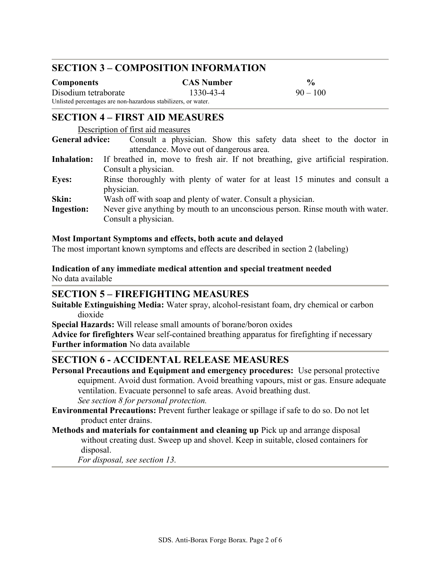### SECTION 3 – COMPOSITION INFORMATION

| <b>Components</b>                                             | <b>CAS Number</b> | $\frac{0}{0}$ |
|---------------------------------------------------------------|-------------------|---------------|
| Disodium tetraborate                                          | 1330-43-4         | $90 - 100$    |
| Unlisted percentages are non-hazardous stabilizers, or water. |                   |               |

### SECTION 4 – FIRST AID MEASURES

Description of first aid measures

General advice: Consult a physician. Show this safety data sheet to the doctor in attendance. Move out of dangerous area.

- Inhalation: If breathed in, move to fresh air. If not breathing, give artificial respiration. Consult a physician.
- Eyes: Rinse thoroughly with plenty of water for at least 15 minutes and consult a physician.
- Skin: Wash off with soap and plenty of water. Consult a physician.
- Ingestion: Never give anything by mouth to an unconscious person. Rinse mouth with water. Consult a physician.

#### Most Important Symptoms and effects, both acute and delayed

The most important known symptoms and effects are described in section 2 (labeling)

Indication of any immediate medical attention and special treatment needed No data available

### SECTION 5 – FIREFIGHTING MEASURES

Suitable Extinguishing Media: Water spray, alcohol-resistant foam, dry chemical or carbon dioxide

Special Hazards: Will release small amounts of borane/boron oxides

Advice for firefighters Wear self-contained breathing apparatus for firefighting if necessary Further information No data available

### SECTION 6 - ACCIDENTAL RELEASE MEASURES

- Personal Precautions and Equipment and emergency procedures: Use personal protective equipment. Avoid dust formation. Avoid breathing vapours, mist or gas. Ensure adequate ventilation. Evacuate personnel to safe areas. Avoid breathing dust. See section 8 for personal protection.
- Environmental Precautions: Prevent further leakage or spillage if safe to do so. Do not let product enter drains.
- Methods and materials for containment and cleaning up Pick up and arrange disposal without creating dust. Sweep up and shovel. Keep in suitable, closed containers for disposal.

For disposal, see section 13.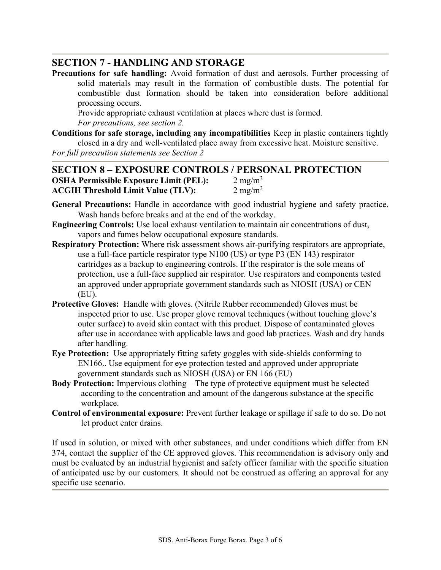### SECTION 7 - HANDLING AND STORAGE

Precautions for safe handling: Avoid formation of dust and aerosols. Further processing of solid materials may result in the formation of combustible dusts. The potential for combustible dust formation should be taken into consideration before additional processing occurs.

Provide appropriate exhaust ventilation at places where dust is formed. For precautions, see section 2.

Conditions for safe storage, including any incompatibilities Keep in plastic containers tightly closed in a dry and well-ventilated place away from excessive heat. Moisture sensitive.

For full precaution statements see Section 2

### SECTION 8 – EXPOSURE CONTROLS / PERSONAL PROTECTION **OSHA Permissible Exposure Limit (PEL):**  $2 \text{ mg/m}^3$ ACGIH Threshold Limit Value (TLV):  $2 \text{ mg/m}^3$

- General Precautions: Handle in accordance with good industrial hygiene and safety practice. Wash hands before breaks and at the end of the workday.
- Engineering Controls: Use local exhaust ventilation to maintain air concentrations of dust, vapors and fumes below occupational exposure standards.
- Respiratory Protection: Where risk assessment shows air-purifying respirators are appropriate, use a full-face particle respirator type N100 (US) or type P3 (EN 143) respirator cartridges as a backup to engineering controls. If the respirator is the sole means of protection, use a full-face supplied air respirator. Use respirators and components tested an approved under appropriate government standards such as NIOSH (USA) or CEN (EU).
- Protective Gloves: Handle with gloves. (Nitrile Rubber recommended) Gloves must be inspected prior to use. Use proper glove removal techniques (without touching glove's outer surface) to avoid skin contact with this product. Dispose of contaminated gloves after use in accordance with applicable laws and good lab practices. Wash and dry hands after handling.
- Eye Protection: Use appropriately fitting safety goggles with side-shields conforming to EN166.. Use equipment for eye protection tested and approved under appropriate government standards such as NIOSH (USA) or EN 166 (EU)
- Body Protection: Impervious clothing The type of protective equipment must be selected according to the concentration and amount of the dangerous substance at the specific workplace.
- Control of environmental exposure: Prevent further leakage or spillage if safe to do so. Do not let product enter drains.

If used in solution, or mixed with other substances, and under conditions which differ from EN 374, contact the supplier of the CE approved gloves. This recommendation is advisory only and must be evaluated by an industrial hygienist and safety officer familiar with the specific situation of anticipated use by our customers. It should not be construed as offering an approval for any specific use scenario.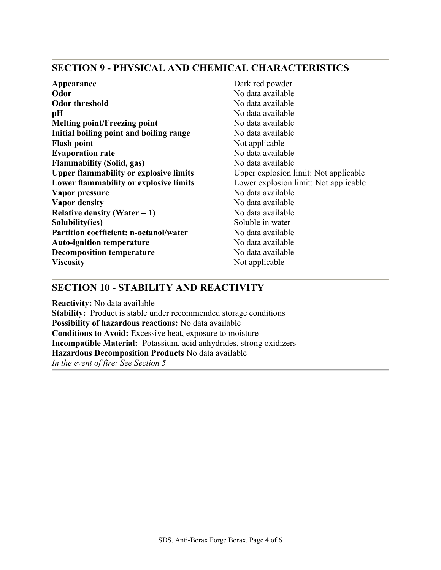### SECTION 9 - PHYSICAL AND CHEMICAL CHARACTERISTICS

Appearance Dark red powder Odor No data available Odor threshold No data available **pH** No data available Melting point/Freezing point No data available Initial boiling point and boiling range No data available Flash point Not applicable Evaporation rate No data available Flammability (Solid, gas) No data available Upper flammability or explosive limits Upper explosion limit: Not applicable Lower flammability or explosive limits Lower explosion limit: Not applicable Vapor pressure No data available Vapor density No data available **Relative density (Water = 1)** No data available Solubility(ies) Soluble in water Partition coefficient: n-octanol/water No data available Auto-ignition temperature No data available Decomposition temperature No data available Viscosity Not applicable

### SECTION 10 - STABILITY AND REACTIVITY

Reactivity: No data available

Stability: Product is stable under recommended storage conditions Possibility of hazardous reactions: No data available Conditions to Avoid: Excessive heat, exposure to moisture Incompatible Material: Potassium, acid anhydrides, strong oxidizers Hazardous Decomposition Products No data available In the event of fire: See Section 5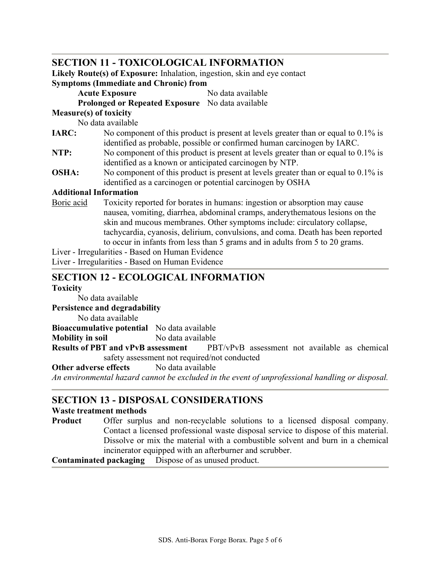### SECTION 11 - TOXICOLOGICAL INFORMATION

Likely Route(s) of Exposure: Inhalation, ingestion, skin and eye contact Symptoms (Immediate and Chronic) from

Acute Exposure No data available

Prolonged or Repeated Exposure No data available

#### Measure(s) of toxicity

No data available

- IARC: No component of this product is present at levels greater than or equal to 0.1% is identified as probable, possible or confirmed human carcinogen by IARC.
- NTP: No component of this product is present at levels greater than or equal to 0.1% is identified as a known or anticipated carcinogen by NTP.
- OSHA: No component of this product is present at levels greater than or equal to 0.1% is identified as a carcinogen or potential carcinogen by OSHA

#### Additional Information

Boric acid Toxicity reported for borates in humans: ingestion or absorption may cause nausea, vomiting, diarrhea, abdominal cramps, anderythematous lesions on the skin and mucous membranes. Other symptoms include: circulatory collapse, tachycardia, cyanosis, delirium, convulsions, and coma. Death has been reported to occur in infants from less than 5 grams and in adults from 5 to 20 grams.

Liver - Irregularities - Based on Human Evidence

Liver - Irregularities - Based on Human Evidence

### SECTION 12 - ECOLOGICAL INFORMATION

#### **Toxicity**

No data available

Persistence and degradability

No data available

Bioaccumulative potential No data available

Mobility in soil No data available

Results of PBT and vPvB assessment PBT/vPvB assessment not available as chemical safety assessment not required/not conducted

### Other adverse effects No data available

An environmental hazard cannot be excluded in the event of unprofessional handling or disposal.

### SECTION 13 - DISPOSAL CONSIDERATIONS

#### Waste treatment methods

Product Offer surplus and non-recyclable solutions to a licensed disposal company. Contact a licensed professional waste disposal service to dispose of this material. Dissolve or mix the material with a combustible solvent and burn in a chemical incinerator equipped with an afterburner and scrubber.

Contaminated packaging Dispose of as unused product.